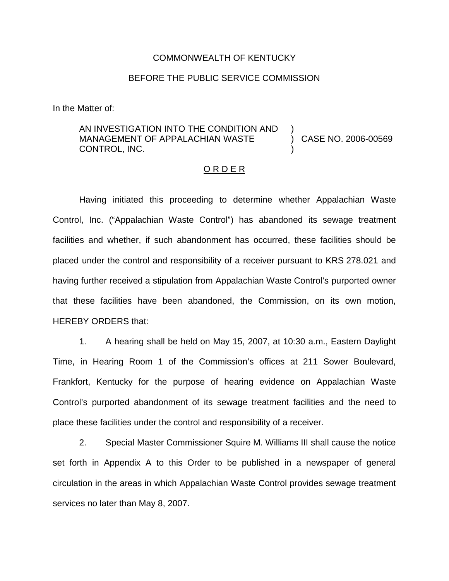#### COMMONWEALTH OF KENTUCKY

### BEFORE THE PUBLIC SERVICE COMMISSION

In the Matter of:

#### AN INVESTIGATION INTO THE CONDITION AND MANAGEMENT OF APPALACHIAN WASTE CONTROL, INC. ) ) CASE NO. 2006-00569 )

## O R D E R

Having initiated this proceeding to determine whether Appalachian Waste Control, Inc. ("Appalachian Waste Control") has abandoned its sewage treatment facilities and whether, if such abandonment has occurred, these facilities should be placed under the control and responsibility of a receiver pursuant to KRS 278.021 and having further received a stipulation from Appalachian Waste Control's purported owner that these facilities have been abandoned, the Commission, on its own motion, HEREBY ORDERS that:

1. A hearing shall be held on May 15, 2007, at 10:30 a.m., Eastern Daylight Time, in Hearing Room 1 of the Commission's offices at 211 Sower Boulevard, Frankfort, Kentucky for the purpose of hearing evidence on Appalachian Waste Control's purported abandonment of its sewage treatment facilities and the need to place these facilities under the control and responsibility of a receiver.

2. Special Master Commissioner Squire M. Williams III shall cause the notice set forth in Appendix A to this Order to be published in a newspaper of general circulation in the areas in which Appalachian Waste Control provides sewage treatment services no later than May 8, 2007.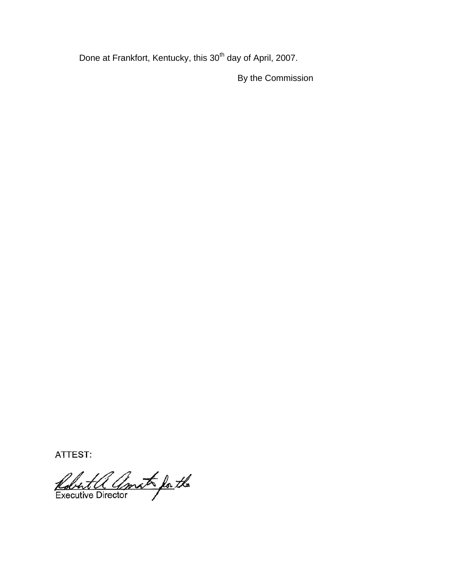Done at Frankfort, Kentucky, this 30<sup>th</sup> day of April, 2007.

By the Commission

ATTEST:

Robert a amat for the